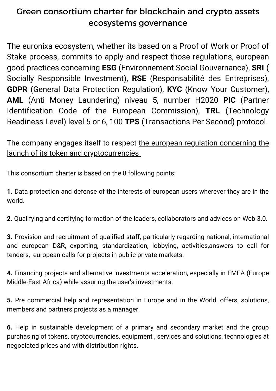## Green consortium charter for blockchain and crypto assets ecosystems governance

The euronixa ecosystem, whether its based on a Proof of Work or Proof of Stake process, commits to apply and respect those regulations, european good practices concerning **ESG** (Environnement Social Gouvernance), **SRI** ( Socially Responsible Investment), **RSE** (Responsabilité des Entreprises), **GDPR** (General Data Protection Regulation), **KYC** (Know Your Customer), **AML** (Anti Money Laundering) niveau 5, number H2020 **PIC** (Partner Identification Code of the European Commission), **TRL** (Technology Readiness Level) level 5 or 6, 100 **TPS** (Transactions Per Second) protocol.

## The company engages itself to respect the european regulation concerning the launch of its token and [cryptocurrencies](https://www.europarl.europa.eu/news/fr/headlines/economy/20220324STO26154/les-dangers-des-crypto-monnaies-et-les-avantages-de-la-legislation-europeenne)

This consortium charter is based on the 8 following points:

**1.** Data protection and defense of the interests of european users wherever they are in the world.

**2.** Qualifying and certifying formation of the leaders, collaborators and advices on Web 3.0.

**3.** Provision and recruitment of qualified staff, particularly regarding national, international and european D&R, exporting, standardization, lobbying, activities,answers to call for tenders, european calls for projects in public private markets.

**4.** Financing projects and alternative investments acceleration, especially in EMEA (Europe Middle-East Africa) while assuring the user's investments.

**5.** Pre commercial help and representation in Europe and in the World, offers, solutions, members and partners projects as a manager.

**6.** Help in sustainable development of a primary and secondary market and the group purchasing of tokens, cryptocurrencies, equipment , services and solutions, technologies at negociated prices and with distribution rights.